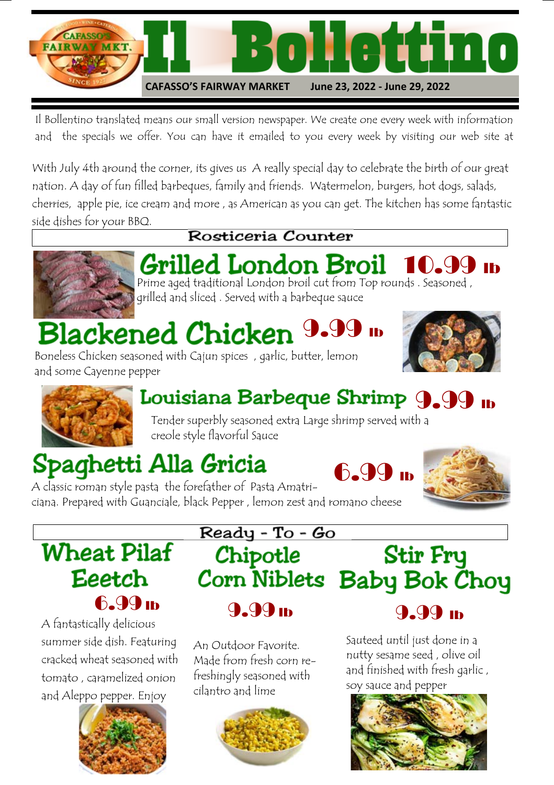

Il Bollentino translated means our small version newspaper. We create one every week with information and the specials we offer. You can have it emailed to you every week by visiting our web site at

With July 4th around the corner, its gives us A really special day to celebrate the birth of our great nation. A day of fun filled barbeques, family and friends. Watermelon, burgers, hot dogs, salads, cherries, apple pie, ice cream and more , as American as you can get. The kitchen has some fantastic side dishes for your BBQ.



#### Rosticeria Counter

Grilled London Broil 10.99 ib Prime aged traditional London broil cut from Top rounds . Seasoned , grilled and sliced . Served with a barbeque sauce

# Blackened Chicken  $9.9$

Boneless Chicken seasoned with Cajun spices , garlic, butter, lemon and some Cayenne pepper





## Louisiana Barbeque Shrimp 9.99 lb

Tender superbly seasoned extra Large shrimp served with a creole style flavorful Sauce

## Spaghetti Alla Gricia





A classic roman style pasta the forefather of Pasta Amatriciana. Prepared with Guanciale, black Pepper , lemon zest and romano cheese

## **Wheat Pilaf Eeetch** 6.99 **lb**

A fantastically delicious summer side dish. Featuring cracked wheat seasoned with tomato , caramelized onion and Aleppo pepper. Enjoy



Ready - To - Go Stir Fry Chipotle Corn Niblets Baby Bok Choy 9.99 lb

An Outdoor Favorite. Made from fresh corn refreshingly seasoned with cilantro and lime



9.99 lb

Sauteed until just done in a nutty sesame seed , olive oil and finished with fresh garlic , soy sauce and pepper

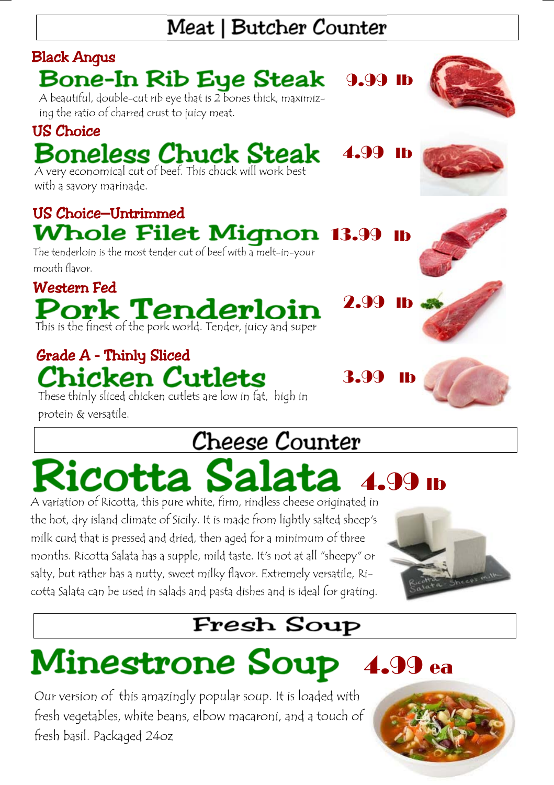## Meat | Butcher Counter



These thinly sliced chicken cutlets are low in fat, high in protein & versatile.

## Cheese Counter

## otta Sal 4.99 lb

A variation of Ricotta, this pure white, firm, rindless cheese originated in the hot, dry island climate of Sicily. It is made from lightly salted sheep's milk curd that is pressed and dried, then aged for a minimum of three months. Ricotta Salata has a supple, mild taste. It's not at all "sheepy" or salty, but rather has a nutty, sweet milky flavor. Extremely versatile, Ricotta Salata can be used in salads and pasta dishes and is ideal for grating.



## **Fresh Soup**

# Minestrone Soup 4.99 ea

Our version of this amazingly popular soup. It is loaded with fresh vegetables, white beans, elbow macaroni, and a touch of fresh basil. Packaged 24oz

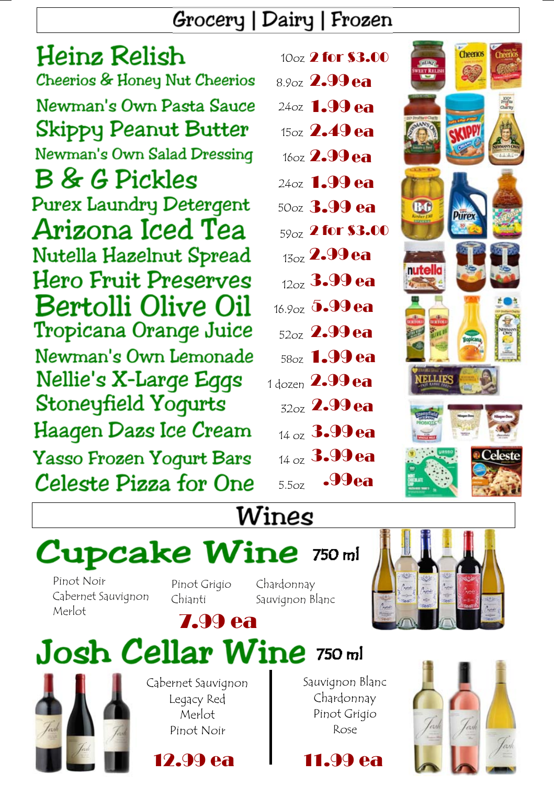#### Grocery | Dairy | Frozen

Heinz Relish Cheerios & Honey Nut Cheerios Newman's Own Pasta Sauce **Skippy Peanut Butter** Newman's Own Salad Dressing **B** & G Pickles **Purex Laundry Detergent** Arizona Iced Tea Nutella Hazelnut Spread **Hero Fruit Preserves** Bertolli Olive Oil Tropicana Orange Juice Newman's Own Lemonade Nellie's X-Large Eggs Stoneyfield Yogurts Haagen Dazs Ice Cream Yasso Frozen Yogurt Bars Celeste Pizza for One

|       | 10 <sub>oz</sub> 2 for \$3.00 |  |
|-------|-------------------------------|--|
|       | 8.9oz 2.99 ea                 |  |
|       | 24oz <b>1.99 ea</b>           |  |
|       | 15oz $2.49$ ea                |  |
|       | 160z 2.99 ea                  |  |
|       | 24oz 1.99 ea                  |  |
|       | 50oz 3.99 ea                  |  |
|       | 59 <sub>oz</sub> 2 for \$3.00 |  |
|       | $_{13oz}$ 2.99 ea             |  |
|       | $_{12oz}$ 3.99 ea             |  |
|       | 16.90z 5.99 ea                |  |
|       | $_{52oz}$ 2.99 ea             |  |
|       | 58oz <b>1.99 ea</b>           |  |
|       | 1 dozen $2.99$ ea             |  |
|       | 32oz 2.99 ea                  |  |
|       | 14 oz 3.99 ea                 |  |
|       | $_{14 \text{ oz}}$ 3.99 ea    |  |
| 5.5oz | -99 ea                        |  |



## Wines

# **Cupcake Wine 750 ml**

Pinot Noir Cabernet Sauvignon Merlot

Pinot Grigio Chianti

Chardonnay Sauvignon Blanc



## 7.99 ea Josh Cellar Wine 750 ml



Cabernet Sauvignon Legacy Red Merlot Pinot Noir

12.99 ea



11.99 ea